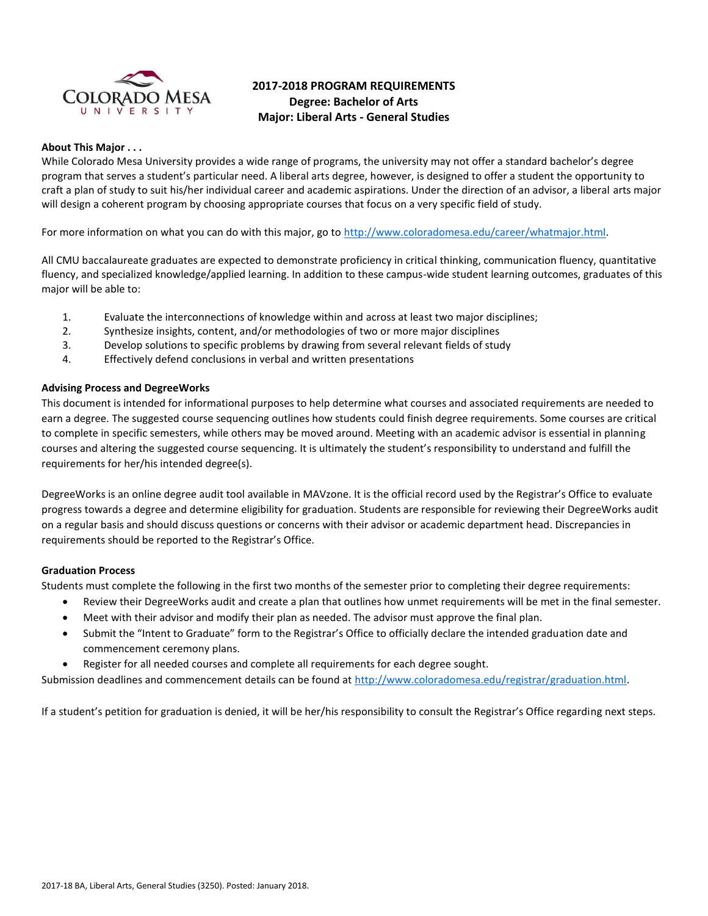

# **2017-2018 PROGRAM REQUIREMENTS Degree: Bachelor of Arts Major: Liberal Arts - General Studies**

## **About This Major . . .**

While Colorado Mesa University provides a wide range of programs, the university may not offer a standard bachelor's degree program that serves a student's particular need. A liberal arts degree, however, is designed to offer a student the opportunity to craft a plan of study to suit his/her individual career and academic aspirations. Under the direction of an advisor, a liberal arts major will design a coherent program by choosing appropriate courses that focus on a very specific field of study.

For more information on what you can do with this major, go t[o http://www.coloradomesa.edu/career/whatmajor.html.](http://www.coloradomesa.edu/career/whatmajor.html)

All CMU baccalaureate graduates are expected to demonstrate proficiency in critical thinking, communication fluency, quantitative fluency, and specialized knowledge/applied learning. In addition to these campus-wide student learning outcomes, graduates of this major will be able to:

- 1. Evaluate the interconnections of knowledge within and across at least two major disciplines;
- 2. Synthesize insights, content, and/or methodologies of two or more major disciplines
- 3. Develop solutions to specific problems by drawing from several relevant fields of study
- 4. Effectively defend conclusions in verbal and written presentations

## **Advising Process and DegreeWorks**

This document is intended for informational purposes to help determine what courses and associated requirements are needed to earn a degree. The suggested course sequencing outlines how students could finish degree requirements. Some courses are critical to complete in specific semesters, while others may be moved around. Meeting with an academic advisor is essential in planning courses and altering the suggested course sequencing. It is ultimately the student's responsibility to understand and fulfill the requirements for her/his intended degree(s).

DegreeWorks is an online degree audit tool available in MAVzone. It is the official record used by the Registrar's Office to evaluate progress towards a degree and determine eligibility for graduation. Students are responsible for reviewing their DegreeWorks audit on a regular basis and should discuss questions or concerns with their advisor or academic department head. Discrepancies in requirements should be reported to the Registrar's Office.

## **Graduation Process**

Students must complete the following in the first two months of the semester prior to completing their degree requirements:

- Review their DegreeWorks audit and create a plan that outlines how unmet requirements will be met in the final semester.
- Meet with their advisor and modify their plan as needed. The advisor must approve the final plan.
- Submit the "Intent to Graduate" form to the Registrar's Office to officially declare the intended graduation date and commencement ceremony plans.
- Register for all needed courses and complete all requirements for each degree sought.

Submission deadlines and commencement details can be found at [http://www.coloradomesa.edu/registrar/graduation.html.](http://www.coloradomesa.edu/registrar/graduation.html)

If a student's petition for graduation is denied, it will be her/his responsibility to consult the Registrar's Office regarding next steps.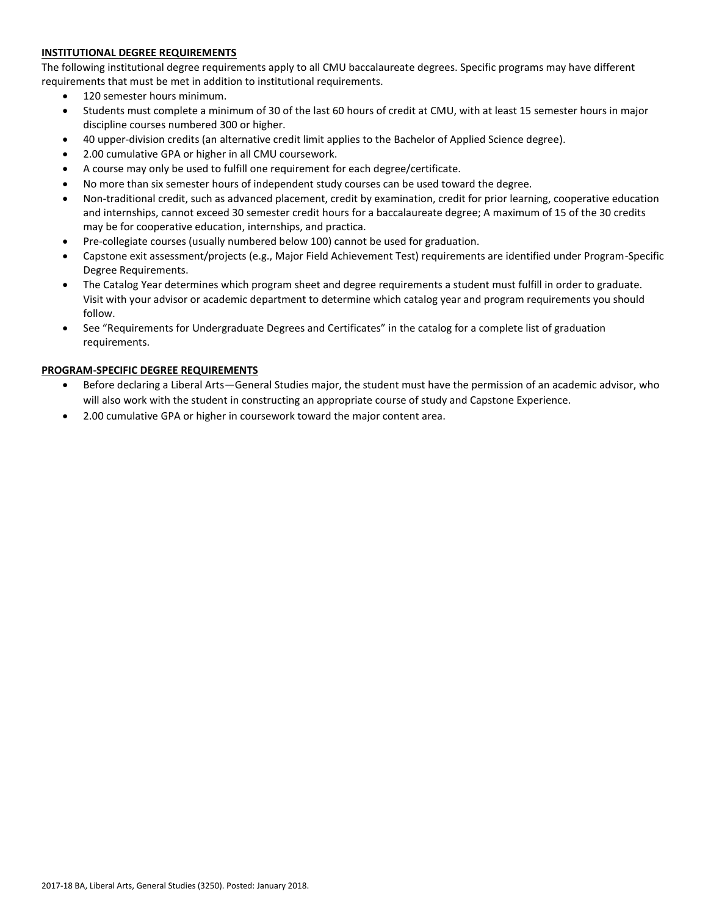# **INSTITUTIONAL DEGREE REQUIREMENTS**

The following institutional degree requirements apply to all CMU baccalaureate degrees. Specific programs may have different requirements that must be met in addition to institutional requirements.

- 120 semester hours minimum.
- Students must complete a minimum of 30 of the last 60 hours of credit at CMU, with at least 15 semester hours in major discipline courses numbered 300 or higher.
- 40 upper-division credits (an alternative credit limit applies to the Bachelor of Applied Science degree).
- 2.00 cumulative GPA or higher in all CMU coursework.
- A course may only be used to fulfill one requirement for each degree/certificate.
- No more than six semester hours of independent study courses can be used toward the degree.
- Non-traditional credit, such as advanced placement, credit by examination, credit for prior learning, cooperative education and internships, cannot exceed 30 semester credit hours for a baccalaureate degree; A maximum of 15 of the 30 credits may be for cooperative education, internships, and practica.
- Pre-collegiate courses (usually numbered below 100) cannot be used for graduation.
- Capstone exit assessment/projects (e.g., Major Field Achievement Test) requirements are identified under Program-Specific Degree Requirements.
- The Catalog Year determines which program sheet and degree requirements a student must fulfill in order to graduate. Visit with your advisor or academic department to determine which catalog year and program requirements you should follow.
- See "Requirements for Undergraduate Degrees and Certificates" in the catalog for a complete list of graduation requirements.

# **PROGRAM-SPECIFIC DEGREE REQUIREMENTS**

- Before declaring a Liberal Arts—General Studies major, the student must have the permission of an academic advisor, who will also work with the student in constructing an appropriate course of study and Capstone Experience.
- 2.00 cumulative GPA or higher in coursework toward the major content area.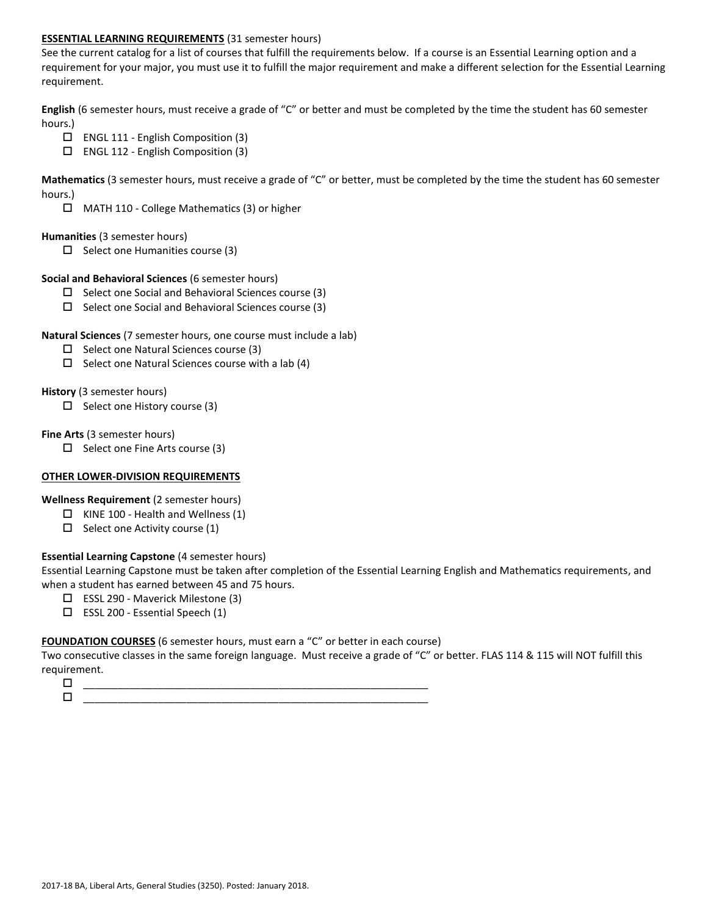## **ESSENTIAL LEARNING REQUIREMENTS** (31 semester hours)

See the current catalog for a list of courses that fulfill the requirements below. If a course is an Essential Learning option and a requirement for your major, you must use it to fulfill the major requirement and make a different selection for the Essential Learning requirement.

**English** (6 semester hours, must receive a grade of "C" or better and must be completed by the time the student has 60 semester hours.)

- ENGL 111 English Composition (3)
- ENGL 112 English Composition (3)

**Mathematics** (3 semester hours, must receive a grade of "C" or better, must be completed by the time the student has 60 semester hours.)

MATH 110 - College Mathematics (3) or higher

## **Humanities** (3 semester hours)

 $\Box$  Select one Humanities course (3)

## **Social and Behavioral Sciences** (6 semester hours)

- $\Box$  Select one Social and Behavioral Sciences course (3)
- $\Box$  Select one Social and Behavioral Sciences course (3)

## **Natural Sciences** (7 semester hours, one course must include a lab)

- $\square$  Select one Natural Sciences course (3)
- $\Box$  Select one Natural Sciences course with a lab (4)

## **History** (3 semester hours)

 $\Box$  Select one History course (3)

## **Fine Arts** (3 semester hours)

 $\Box$  Select one Fine Arts course (3)

# **OTHER LOWER-DIVISION REQUIREMENTS**

**Wellness Requirement** (2 semester hours)

- $\Box$  KINE 100 Health and Wellness (1)
- $\Box$  Select one Activity course (1)

# **Essential Learning Capstone** (4 semester hours)

Essential Learning Capstone must be taken after completion of the Essential Learning English and Mathematics requirements, and when a student has earned between 45 and 75 hours.

- ESSL 290 Maverick Milestone (3)
- $\Box$  ESSL 200 Essential Speech (1)

# **FOUNDATION COURSES** (6 semester hours, must earn a "C" or better in each course)

Two consecutive classes in the same foreign language. Must receive a grade of "C" or better. FLAS 114 & 115 will NOT fulfill this requirement.

 \_\_\_\_\_\_\_\_\_\_\_\_\_\_\_\_\_\_\_\_\_\_\_\_\_\_\_\_\_\_\_\_\_\_\_\_\_\_\_\_\_\_\_\_\_\_\_\_\_\_\_\_\_\_\_\_\_\_\_\_ \_\_\_\_\_\_\_\_\_\_\_\_\_\_\_\_\_\_\_\_\_\_\_\_\_\_\_\_\_\_\_\_\_\_\_\_\_\_\_\_\_\_\_\_\_\_\_\_\_\_\_\_\_\_\_\_\_\_\_\_